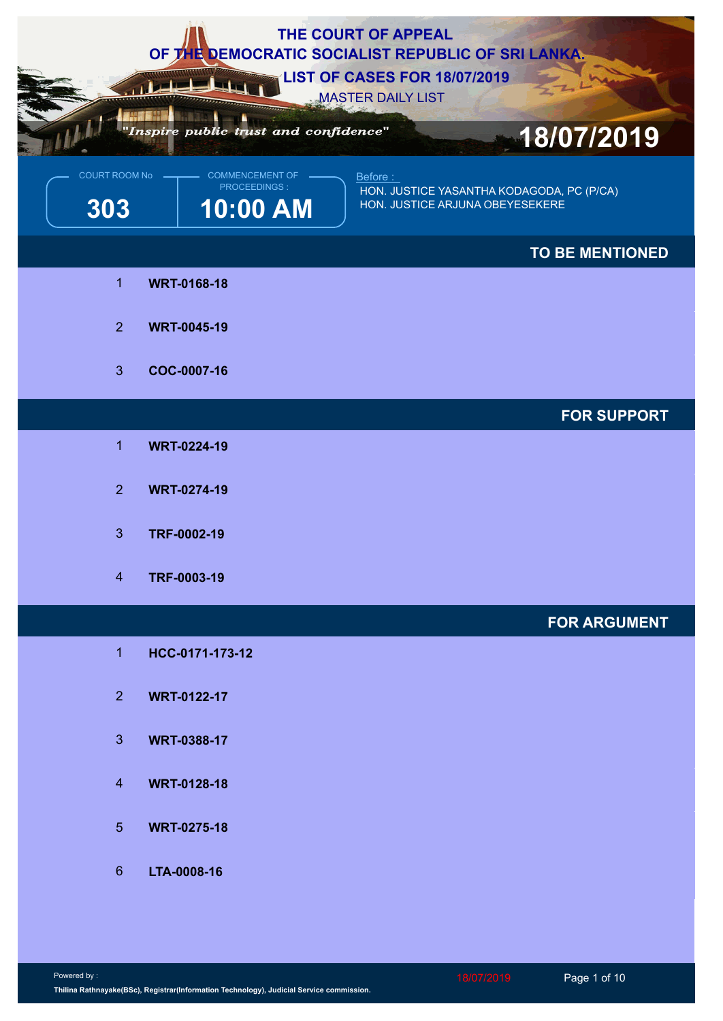|                             |                                                    | THE COURT OF APPEAL<br>OF THE DEMOCRATIC SOCIALIST REPUBLIC OF SRI LANKA.               |
|-----------------------------|----------------------------------------------------|-----------------------------------------------------------------------------------------|
|                             |                                                    | <b>LIST OF CASES FOR 18/07/2019</b><br><b>MASTER DAILY LIST</b>                         |
|                             | "Inspire public trust and confidence"              | 18/07/2019                                                                              |
| <b>COURT ROOM No</b><br>303 | <b>COMMENCEMENT OF</b><br>PROCEEDINGS:<br>10:00 AM | Before:<br>HON. JUSTICE YASANTHA KODAGODA, PC (P/CA)<br>HON. JUSTICE ARJUNA OBEYESEKERE |
|                             |                                                    | <b>TO BE MENTIONED</b>                                                                  |
| $\overline{1}$              | <b>WRT-0168-18</b>                                 |                                                                                         |
| 2 <sup>1</sup>              | <b>WRT-0045-19</b>                                 |                                                                                         |
| 3 <sup>1</sup>              | COC-0007-16                                        |                                                                                         |
|                             |                                                    | <b>FOR SUPPORT</b>                                                                      |
| $\blacktriangleleft$        | <b>WRT-0224-19</b>                                 |                                                                                         |
| 2 <sup>1</sup>              | <b>WRT-0274-19</b>                                 |                                                                                         |
| $\mathbf{3}$                | TRF-0002-19                                        |                                                                                         |
| $\overline{4}$              | TRF-0003-19                                        |                                                                                         |
|                             |                                                    | <b>FOR ARGUMENT</b>                                                                     |
| $\mathbf{1}$                | HCC-0171-173-12                                    |                                                                                         |
| 2 <sup>1</sup>              | <b>WRT-0122-17</b>                                 |                                                                                         |
| 3 <sup>1</sup>              | <b>WRT-0388-17</b>                                 |                                                                                         |
| $\overline{4}$              | <b>WRT-0128-18</b>                                 |                                                                                         |
| 5 <sup>5</sup>              | <b>WRT-0275-18</b>                                 |                                                                                         |
| $6^{\circ}$                 | LTA-0008-16                                        |                                                                                         |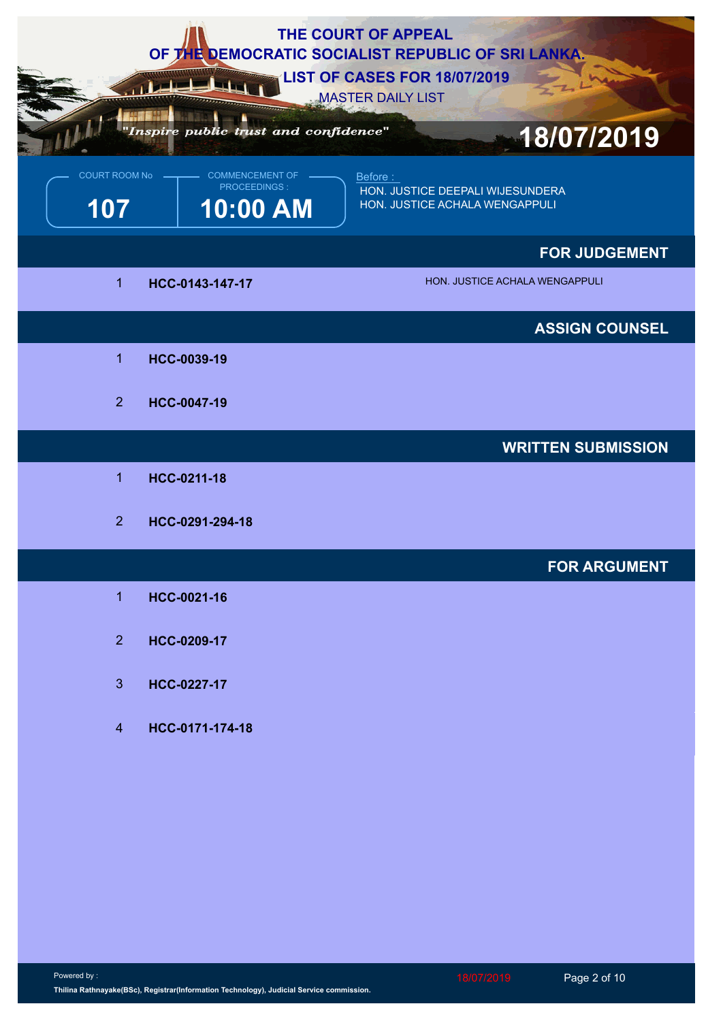|                             |                                                                                             | THE COURT OF APPEAL<br>OF THE DEMOCRATIC SOCIALIST REPUBLIC OF SRI LANKA.<br><b>LIST OF CASES FOR 18/07/2019</b><br><b>MASTER DAILY LIST</b> |
|-----------------------------|---------------------------------------------------------------------------------------------|----------------------------------------------------------------------------------------------------------------------------------------------|
| <b>COURT ROOM No</b><br>107 | "Inspire public trust and confidence"<br><b>COMMENCEMENT OF</b><br>PROCEEDINGS:<br>10:00 AM | 18/07/2019<br>Before:<br>HON. JUSTICE DEEPALI WIJESUNDERA<br>HON. JUSTICE ACHALA WENGAPPULI                                                  |
|                             |                                                                                             | <b>FOR JUDGEMENT</b>                                                                                                                         |
| $\overline{1}$              | HCC-0143-147-17                                                                             | HON. JUSTICE ACHALA WENGAPPULI                                                                                                               |
|                             |                                                                                             | <b>ASSIGN COUNSEL</b>                                                                                                                        |
| $\blacktriangleleft$        | HCC-0039-19                                                                                 |                                                                                                                                              |
| 2 <sup>1</sup>              | HCC-0047-19                                                                                 |                                                                                                                                              |
|                             |                                                                                             | <b>WRITTEN SUBMISSION</b>                                                                                                                    |
| $\mathbf 1$                 | HCC-0211-18                                                                                 |                                                                                                                                              |
| 2 <sup>1</sup>              | HCC-0291-294-18                                                                             |                                                                                                                                              |
|                             |                                                                                             | <b>FOR ARGUMENT</b>                                                                                                                          |
| $\mathbf{1}$                | HCC-0021-16                                                                                 |                                                                                                                                              |
| 2 <sup>1</sup>              | HCC-0209-17                                                                                 |                                                                                                                                              |
| 3 <sup>1</sup>              | HCC-0227-17                                                                                 |                                                                                                                                              |
| $\overline{4}$              | HCC-0171-174-18                                                                             |                                                                                                                                              |
|                             |                                                                                             |                                                                                                                                              |
|                             |                                                                                             |                                                                                                                                              |
|                             |                                                                                             |                                                                                                                                              |
|                             |                                                                                             |                                                                                                                                              |
|                             |                                                                                             |                                                                                                                                              |
|                             |                                                                                             |                                                                                                                                              |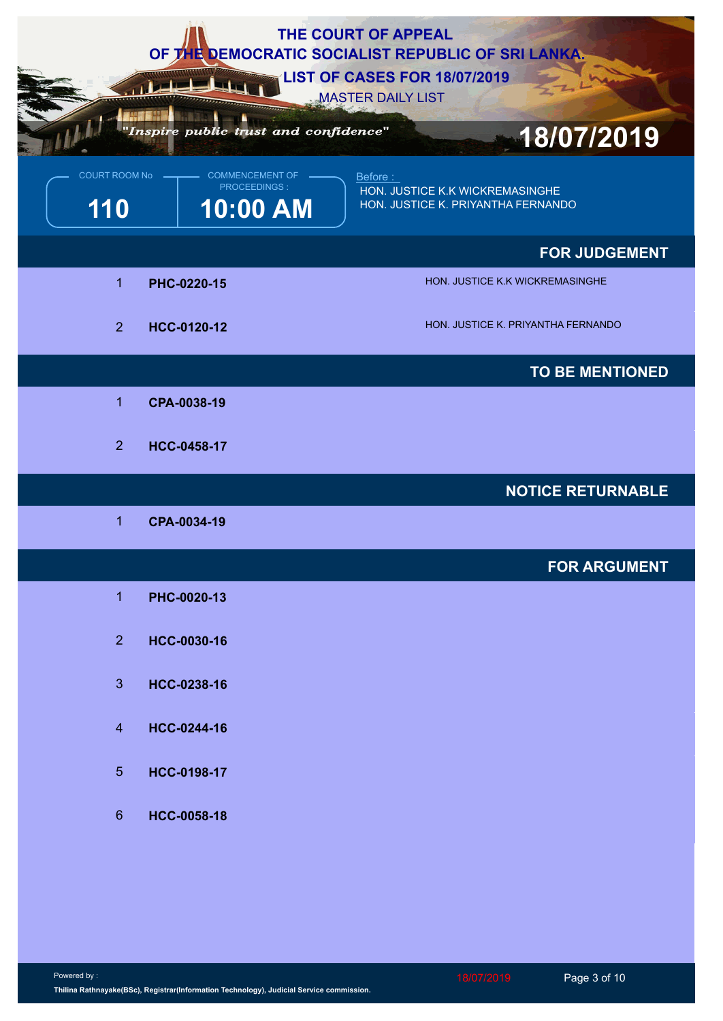|                             |                                                    | THE COURT OF APPEAL<br>OF THE DEMOCRATIC SOCIALIST REPUBLIC OF SRI LANKA.<br><b>LIST OF CASES FOR 18/07/2019</b><br><b>MASTER DAILY LIST</b> |
|-----------------------------|----------------------------------------------------|----------------------------------------------------------------------------------------------------------------------------------------------|
|                             | Inspire public trust and confidence"               | 18/07/2019                                                                                                                                   |
| <b>COURT ROOM No</b><br>110 | <b>COMMENCEMENT OF</b><br>PROCEEDINGS:<br>10:00 AM | Before:<br>HON. JUSTICE K.K WICKREMASINGHE<br>HON. JUSTICE K. PRIYANTHA FERNANDO                                                             |
|                             |                                                    | <b>FOR JUDGEMENT</b>                                                                                                                         |
| 1                           | PHC-0220-15                                        | HON. JUSTICE K.K WICKREMASINGHE                                                                                                              |
| 2 <sup>1</sup>              | HCC-0120-12                                        | HON. JUSTICE K. PRIYANTHA FERNANDO                                                                                                           |
|                             |                                                    | <b>TO BE MENTIONED</b>                                                                                                                       |
| $\overline{1}$              | CPA-0038-19                                        |                                                                                                                                              |
| 2 <sup>1</sup>              | HCC-0458-17                                        |                                                                                                                                              |
|                             |                                                    | <b>NOTICE RETURNABLE</b>                                                                                                                     |
| -1                          | CPA-0034-19                                        |                                                                                                                                              |
|                             |                                                    | <b>FOR ARGUMENT</b>                                                                                                                          |
| $\mathbf{1}$                | PHC-0020-13                                        |                                                                                                                                              |
| 2 <sup>1</sup>              | HCC-0030-16                                        |                                                                                                                                              |
| 3 <sup>2</sup>              | HCC-0238-16                                        |                                                                                                                                              |
| $\overline{4}$              | HCC-0244-16                                        |                                                                                                                                              |
| 5 <sup>5</sup>              | HCC-0198-17                                        |                                                                                                                                              |
| $6\phantom{1}$              | HCC-0058-18                                        |                                                                                                                                              |
|                             |                                                    |                                                                                                                                              |
|                             |                                                    |                                                                                                                                              |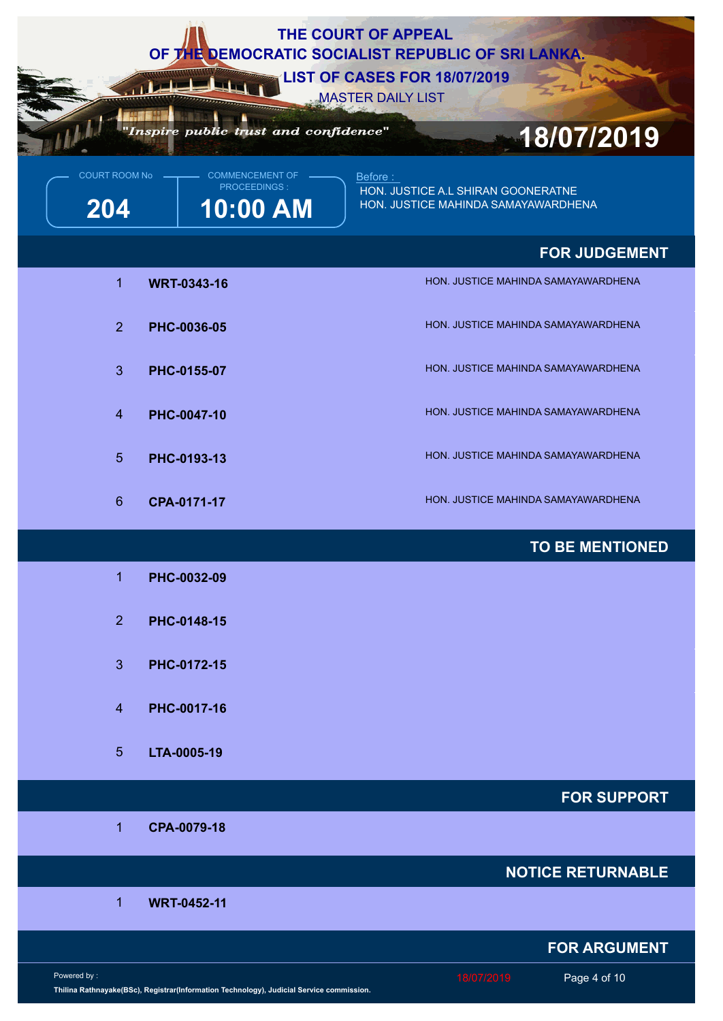|                                                                                                         | THE COURT OF APPEAL<br>OF THE DEMOCRATIC SOCIALIST REPUBLIC OF SRI LANKA.<br>LIST OF CASES FOR 18/07/2019 |
|---------------------------------------------------------------------------------------------------------|-----------------------------------------------------------------------------------------------------------|
| "Inspire public trust and confidence"                                                                   | <b>MASTER DAILY LIST</b><br>18/07/2019                                                                    |
| COURT ROOM No -<br>COMMENCEMENT OF<br><b>PROCEEDINGS:</b><br>10:00 AM<br>204                            | Before:<br>HON. JUSTICE A.L SHIRAN GOONERATNE<br>HON. JUSTICE MAHINDA SAMAYAWARDHENA                      |
|                                                                                                         | <b>FOR JUDGEMENT</b>                                                                                      |
| 1<br><b>WRT-0343-16</b>                                                                                 | HON. JUSTICE MAHINDA SAMAYAWARDHENA                                                                       |
| 2 <sup>1</sup><br>PHC-0036-05                                                                           | HON. JUSTICE MAHINDA SAMAYAWARDHENA                                                                       |
| 3 <sup>2</sup><br>PHC-0155-07                                                                           | HON. JUSTICE MAHINDA SAMAYAWARDHENA                                                                       |
| $\overline{4}$<br>PHC-0047-10                                                                           | HON. JUSTICE MAHINDA SAMAYAWARDHENA                                                                       |
| 5 <sup>5</sup><br>PHC-0193-13                                                                           | HON. JUSTICE MAHINDA SAMAYAWARDHENA                                                                       |
| $6^{\circ}$<br>CPA-0171-17                                                                              | HON. JUSTICE MAHINDA SAMAYAWARDHENA                                                                       |
|                                                                                                         | <b>TO BE MENTIONED</b>                                                                                    |
| 1<br>PHC-0032-09                                                                                        |                                                                                                           |
| 2 <sup>1</sup><br>PHC-0148-15                                                                           |                                                                                                           |
| 3 <sup>1</sup><br>PHC-0172-15                                                                           |                                                                                                           |
| $\overline{4}$<br>PHC-0017-16                                                                           |                                                                                                           |
| 5 <sup>5</sup><br>LTA-0005-19                                                                           |                                                                                                           |
|                                                                                                         | <b>FOR SUPPORT</b>                                                                                        |
| CPA-0079-18<br>$\blacktriangleleft$                                                                     |                                                                                                           |
|                                                                                                         | <b>NOTICE RETURNABLE</b>                                                                                  |
| 1<br><b>WRT-0452-11</b>                                                                                 |                                                                                                           |
|                                                                                                         | <b>FOR ARGUMENT</b>                                                                                       |
| Powered by:<br>Thilina Rathnayake(BSc), Registrar(Information Technology), Judicial Service commission. | 18/07/2019<br>Page 4 of 10                                                                                |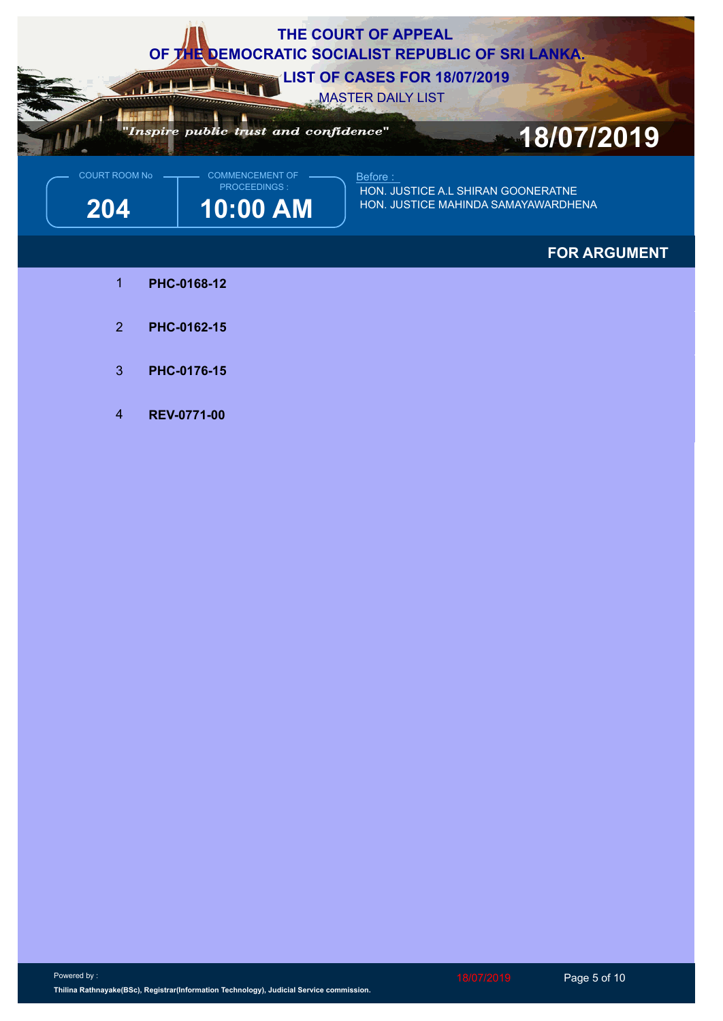

## **FOR ARGUMENT**

- 1 **PHC-0168-12**
- 2 **PHC-0162-15**
- 3 **PHC-0176-15**
- 4 **REV-0771-00**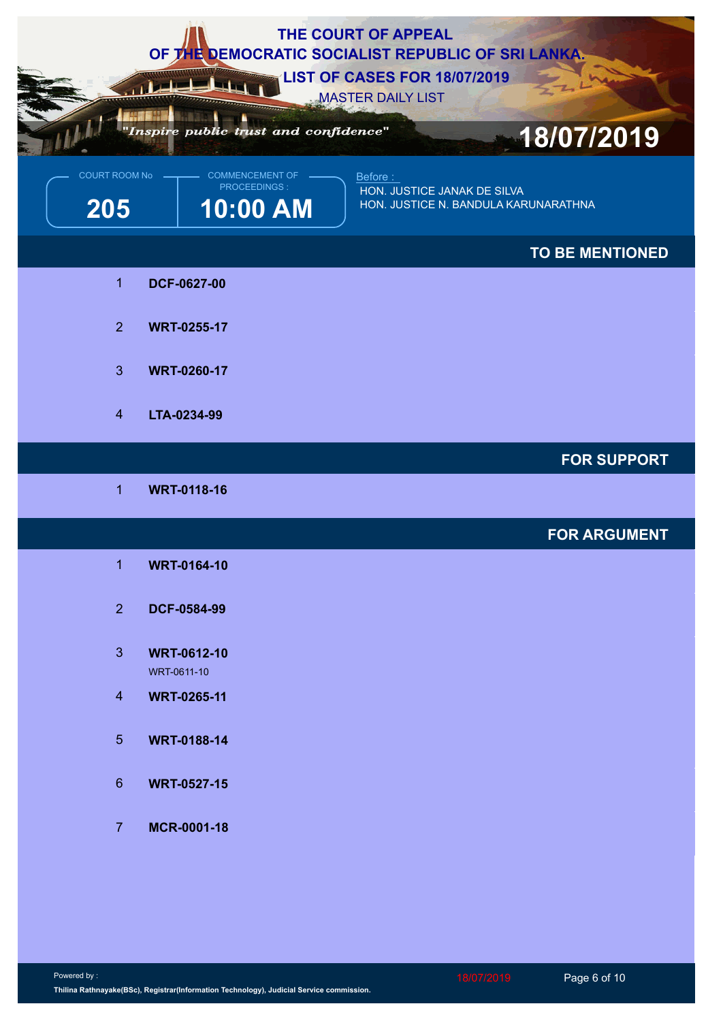|                        |                                                    | THE COURT OF APPEAL<br>OF THE DEMOCRATIC SOCIALIST REPUBLIC OF SRI LANKA.<br><b>LIST OF CASES FOR 18/07/2019</b><br><b>MASTER DAILY LIST</b> |
|------------------------|----------------------------------------------------|----------------------------------------------------------------------------------------------------------------------------------------------|
|                        | "Inspire public trust and confidence"              | 18/07/2019                                                                                                                                   |
| COURT ROOM No -<br>205 | <b>COMMENCEMENT OF</b><br>PROCEEDINGS:<br>10:00 AM | Before:<br>HON. JUSTICE JANAK DE SILVA<br>HON. JUSTICE N. BANDULA KARUNARATHNA                                                               |
|                        |                                                    | TO BE MENTIONED                                                                                                                              |
| $\overline{1}$         | DCF-0627-00                                        |                                                                                                                                              |
| $\overline{2}$         | <b>WRT-0255-17</b>                                 |                                                                                                                                              |
| $\mathbf{3}$           | <b>WRT-0260-17</b>                                 |                                                                                                                                              |
| $\overline{4}$         | LTA-0234-99                                        |                                                                                                                                              |
|                        |                                                    | <b>FOR SUPPORT</b>                                                                                                                           |
| -1                     | <b>WRT-0118-16</b>                                 |                                                                                                                                              |
|                        |                                                    | <b>FOR ARGUMENT</b>                                                                                                                          |
| $\mathbf{1}$           | <b>WRT-0164-10</b>                                 |                                                                                                                                              |
| 2 <sup>7</sup>         | DCF-0584-99                                        |                                                                                                                                              |
| 3 <sup>°</sup>         | <b>WRT-0612-10</b><br>WRT-0611-10                  |                                                                                                                                              |
| $\overline{4}$         | <b>WRT-0265-11</b>                                 |                                                                                                                                              |
| 5 <sub>5</sub>         | <b>WRT-0188-14</b>                                 |                                                                                                                                              |
| $6\overline{6}$        | <b>WRT-0527-15</b>                                 |                                                                                                                                              |
| $\overline{7}$         | MCR-0001-18                                        |                                                                                                                                              |
|                        |                                                    |                                                                                                                                              |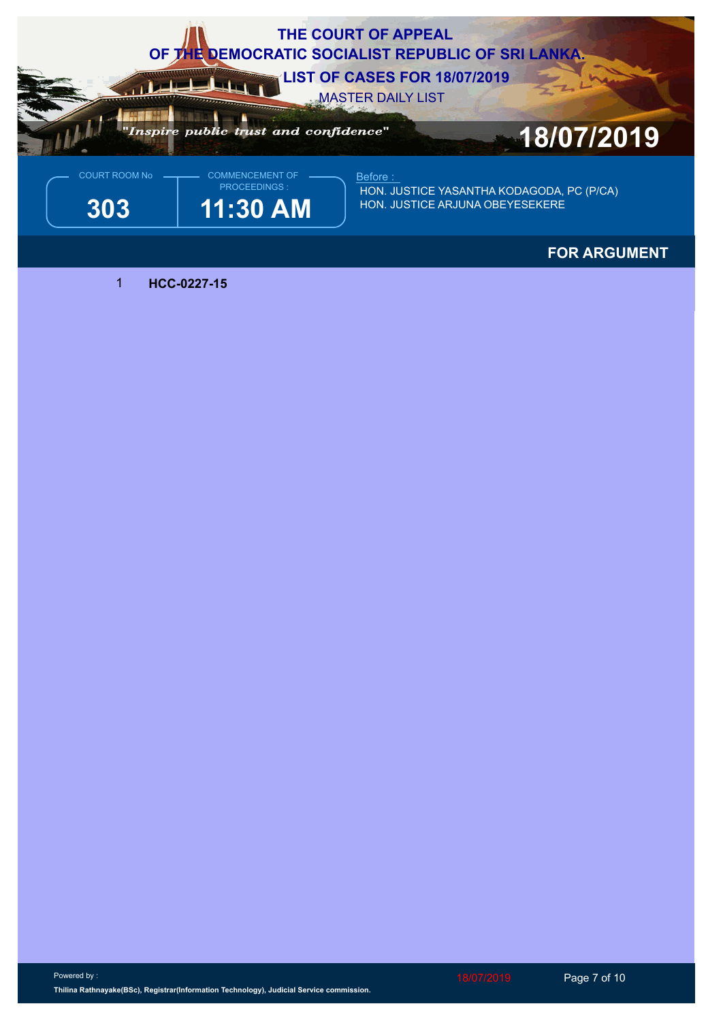

## **FOR ARGUMENT**

1 **HCC-0227-15**

18/07/2019 Page 7 of 10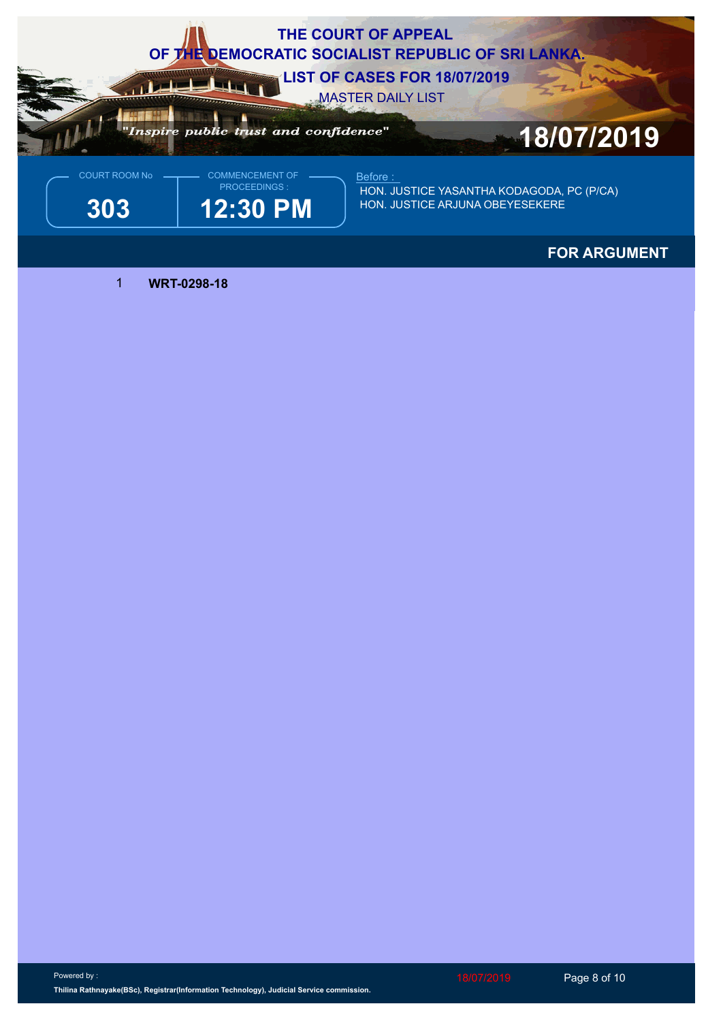

## **FOR ARGUMENT**

1 **WRT-0298-18**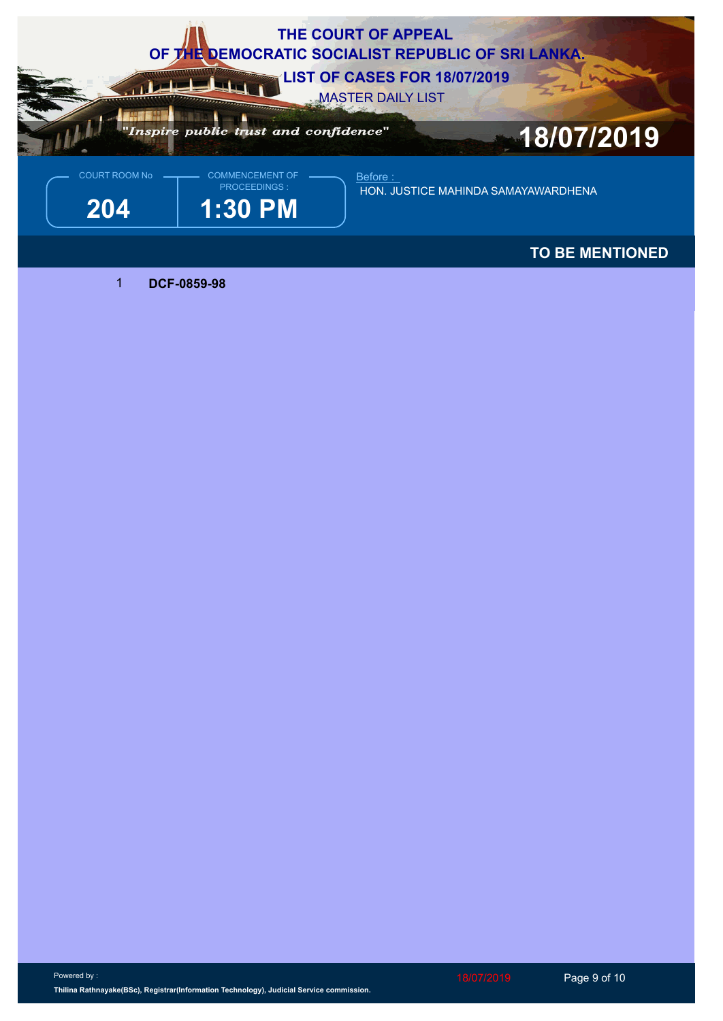

**TO BE MENTIONED**

1 **DCF-0859-98**

Powered by : **Thilina Rathnayake(BSc), Registrar(Information Technology), Judicial Service commission.**